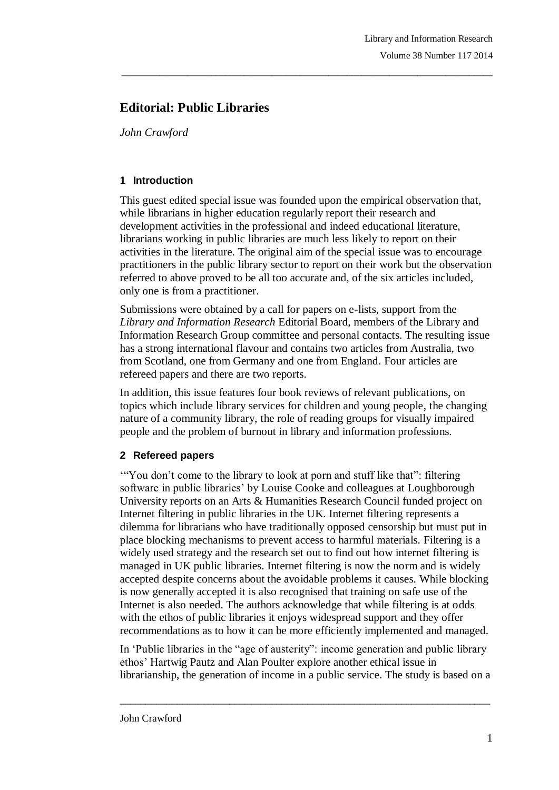# **Editorial: Public Libraries**

*John Crawford*

### **1 Introduction**

This guest edited special issue was founded upon the empirical observation that, while librarians in higher education regularly report their research and development activities in the professional and indeed educational literature, librarians working in public libraries are much less likely to report on their activities in the literature. The original aim of the special issue was to encourage practitioners in the public library sector to report on their work but the observation referred to above proved to be all too accurate and, of the six articles included, only one is from a practitioner.

\_\_\_\_\_\_\_\_\_\_\_\_\_\_\_\_\_\_\_\_\_\_\_\_\_\_\_\_\_\_\_\_\_\_\_\_\_\_\_\_\_\_\_\_\_\_\_\_\_\_\_\_\_\_\_\_\_\_\_\_\_\_\_\_\_\_\_\_\_\_\_\_\_\_\_\_\_\_\_

Submissions were obtained by a call for papers on e-lists, support from the *Library and Information Research* Editorial Board, members of the Library and Information Research Group committee and personal contacts. The resulting issue has a strong international flavour and contains two articles from Australia, two from Scotland, one from Germany and one from England. Four articles are refereed papers and there are two reports.

In addition, this issue features four book reviews of relevant publications, on topics which include library services for children and young people, the changing nature of a community library, the role of reading groups for visually impaired people and the problem of burnout in library and information professions.

## **2 Refereed papers**

"You don't come to the library to look at porn and stuff like that": filtering software in public libraries' by Louise Cooke and colleagues at Loughborough University reports on an Arts & Humanities Research Council funded project on Internet filtering in public libraries in the UK. Internet filtering represents a dilemma for librarians who have traditionally opposed censorship but must put in place blocking mechanisms to prevent access to harmful materials. Filtering is a widely used strategy and the research set out to find out how internet filtering is managed in UK public libraries. Internet filtering is now the norm and is widely accepted despite concerns about the avoidable problems it causes. While blocking is now generally accepted it is also recognised that training on safe use of the Internet is also needed. The authors acknowledge that while filtering is at odds with the ethos of public libraries it enjoys widespread support and they offer recommendations as to how it can be more efficiently implemented and managed.

In "Public libraries in the "age of austerity": income generation and public library ethos" Hartwig Pautz and Alan Poulter explore another ethical issue in librarianship, the generation of income in a public service. The study is based on a

 $\_$  ,  $\_$  ,  $\_$  ,  $\_$  ,  $\_$  ,  $\_$  ,  $\_$  ,  $\_$  ,  $\_$  ,  $\_$  ,  $\_$  ,  $\_$  ,  $\_$  ,  $\_$  ,  $\_$  ,  $\_$  ,  $\_$  ,  $\_$  ,  $\_$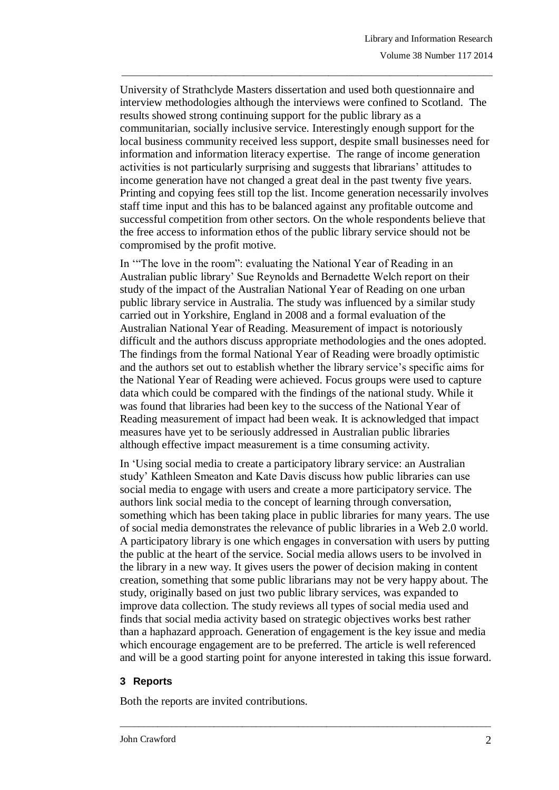University of Strathclyde Masters dissertation and used both questionnaire and interview methodologies although the interviews were confined to Scotland. The results showed strong continuing support for the public library as a communitarian, socially inclusive service. Interestingly enough support for the local business community received less support, despite small businesses need for information and information literacy expertise. The range of income generation activities is not particularly surprising and suggests that librarians" attitudes to income generation have not changed a great deal in the past twenty five years. Printing and copying fees still top the list. Income generation necessarily involves staff time input and this has to be balanced against any profitable outcome and successful competition from other sectors. On the whole respondents believe that the free access to information ethos of the public library service should not be compromised by the profit motive.

\_\_\_\_\_\_\_\_\_\_\_\_\_\_\_\_\_\_\_\_\_\_\_\_\_\_\_\_\_\_\_\_\_\_\_\_\_\_\_\_\_\_\_\_\_\_\_\_\_\_\_\_\_\_\_\_\_\_\_\_\_\_\_\_\_\_\_\_\_\_\_\_\_\_\_\_\_\_\_

In ""The love in the room": evaluating the National Year of Reading in an Australian public library" Sue Reynolds and Bernadette Welch report on their study of the impact of the Australian National Year of Reading on one urban public library service in Australia. The study was influenced by a similar study carried out in Yorkshire, England in 2008 and a formal evaluation of the Australian National Year of Reading. Measurement of impact is notoriously difficult and the authors discuss appropriate methodologies and the ones adopted. The findings from the formal National Year of Reading were broadly optimistic and the authors set out to establish whether the library service"s specific aims for the National Year of Reading were achieved. Focus groups were used to capture data which could be compared with the findings of the national study. While it was found that libraries had been key to the success of the National Year of Reading measurement of impact had been weak. It is acknowledged that impact measures have yet to be seriously addressed in Australian public libraries although effective impact measurement is a time consuming activity.

In "Using social media to create a participatory library service: an Australian study" Kathleen Smeaton and Kate Davis discuss how public libraries can use social media to engage with users and create a more participatory service. The authors link social media to the concept of learning through conversation, something which has been taking place in public libraries for many years. The use of social media demonstrates the relevance of public libraries in a Web 2.0 world. A participatory library is one which engages in conversation with users by putting the public at the heart of the service. Social media allows users to be involved in the library in a new way. It gives users the power of decision making in content creation, something that some public librarians may not be very happy about. The study, originally based on just two public library services, was expanded to improve data collection. The study reviews all types of social media used and finds that social media activity based on strategic objectives works best rather than a haphazard approach. Generation of engagement is the key issue and media which encourage engagement are to be preferred. The article is well referenced and will be a good starting point for anyone interested in taking this issue forward.

\_\_\_\_\_\_\_\_\_\_\_\_\_\_\_\_\_\_\_\_\_\_\_\_\_\_\_\_\_\_\_\_\_\_\_\_\_\_\_\_\_\_\_\_\_\_\_\_\_\_\_\_\_\_\_\_\_\_\_\_\_\_\_\_\_\_\_\_\_\_\_\_\_\_\_\_\_\_\_

#### **3 Reports**

Both the reports are invited contributions.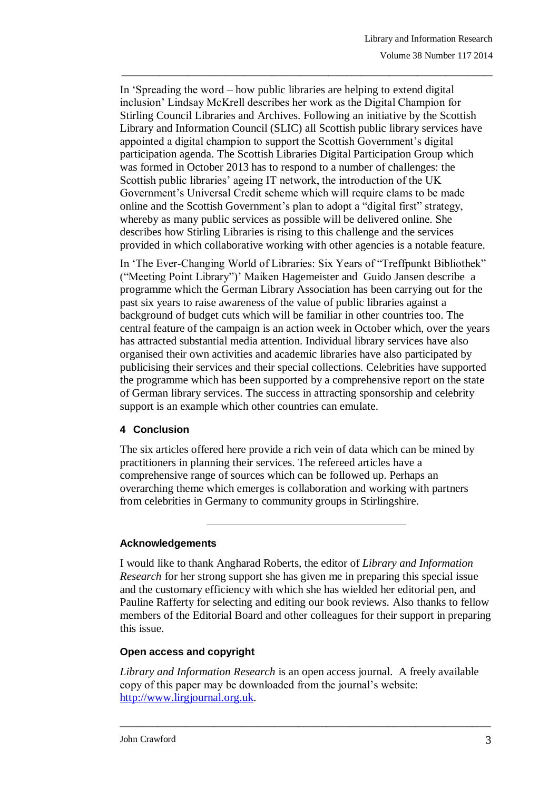In "Spreading the word – how public libraries are helping to extend digital inclusion" Lindsay McKrell describes her work as the Digital Champion for Stirling Council Libraries and Archives. Following an initiative by the Scottish Library and Information Council (SLIC) all Scottish public library services have appointed a digital champion to support the Scottish Government's digital participation agenda. The Scottish Libraries Digital Participation Group which was formed in October 2013 has to respond to a number of challenges: the Scottish public libraries' ageing IT network, the introduction of the UK Government"s Universal Credit scheme which will require clams to be made online and the Scottish Government"s plan to adopt a "digital first" strategy, whereby as many public services as possible will be delivered online. She describes how Stirling Libraries is rising to this challenge and the services provided in which collaborative working with other agencies is a notable feature.

\_\_\_\_\_\_\_\_\_\_\_\_\_\_\_\_\_\_\_\_\_\_\_\_\_\_\_\_\_\_\_\_\_\_\_\_\_\_\_\_\_\_\_\_\_\_\_\_\_\_\_\_\_\_\_\_\_\_\_\_\_\_\_\_\_\_\_\_\_\_\_\_\_\_\_\_\_\_\_

In "The Ever-Changing World of Libraries: Six Years of "Treffpunkt Bibliothek" ("Meeting Point Library")" Maiken Hagemeister and Guido Jansen describe a programme which the German Library Association has been carrying out for the past six years to raise awareness of the value of public libraries against a background of budget cuts which will be familiar in other countries too. The central feature of the campaign is an action week in October which, over the years has attracted substantial media attention. Individual library services have also organised their own activities and academic libraries have also participated by publicising their services and their special collections. Celebrities have supported the programme which has been supported by a comprehensive report on the state of German library services. The success in attracting sponsorship and celebrity support is an example which other countries can emulate.

#### **4 Conclusion**

The six articles offered here provide a rich vein of data which can be mined by practitioners in planning their services. The refereed articles have a comprehensive range of sources which can be followed up. Perhaps an overarching theme which emerges is collaboration and working with partners from celebrities in Germany to community groups in Stirlingshire.

#### **Acknowledgements**

I would like to thank Angharad Roberts, the editor of *Library and Information Research* for her strong support she has given me in preparing this special issue and the customary efficiency with which she has wielded her editorial pen, and Pauline Rafferty for selecting and editing our book reviews. Also thanks to fellow members of the Editorial Board and other colleagues for their support in preparing this issue.

#### **Open access and copyright**

*Library and Information Research* is an open access journal. A freely available copy of this paper may be downloaded from the journal"s website: [http://www.lirgjournal.org.uk.](http://www.lirgjournal.org.uk/)

\_\_\_\_\_\_\_\_\_\_\_\_\_\_\_\_\_\_\_\_\_\_\_\_\_\_\_\_\_\_\_\_\_\_\_\_\_\_\_\_\_\_\_\_\_\_\_\_\_\_\_\_\_\_\_\_\_\_\_\_\_\_\_\_\_\_\_\_\_\_\_\_\_\_\_\_\_\_\_